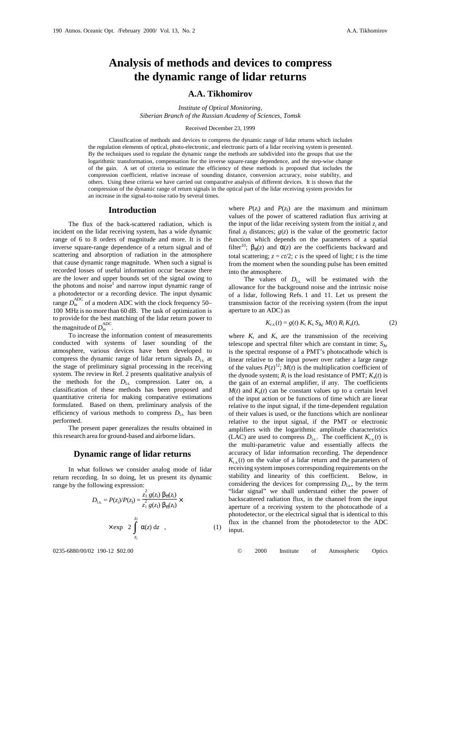# **Analysis of methods and devices to compress the dynamic range of lidar returns**

# **A.A. Tikhomirov**

*Institute of Optical Monitoring, Siberian Branch of the Russian Academy of Sciences, Tomsk*

#### Received December 23, 1999

Classification of methods and devices to compress the dynamic range of lidar returns which includes the regulation elements of optical, photo-electronic, and electronic parts of a lidar receiving system is presented. By the techniques used to regulate the dynamic range the methods are subdivided into the groups that use the logarithmic transformation, compensation for the inverse square-range dependence, and the step-wise change of the gain. A set of criteria to estimate the efficiency of these methods is proposed that includes the compression coefficient, relative increase of sounding distance, conversion accuracy, noise stability, and others. Using these criteria we have carried out comparative analysis of different devices. It is shown that the compression of the dynamic range of return signals in the optical part of the lidar receiving system provides for an increase in the signal-to-noise ratio by several times.

# **Introduction**

The flux of the back-scattered radiation, which is incident on the lidar receiving system, has a wide dynamic range of 6 to 8 orders of magnitude and more. It is the inverse square-range dependence of a return signal and of scattering and absorption of radiation in the atmosphere that cause dynamic range magnitude. When such a signal is recorded losses of useful information occur because there are the lower and upper bounds set of the signal owing to the photons and noise<sup>1</sup> and narrow input dynamic range of a photodetector or a recording device. The input dynamic range  $D_{\text{in}}^{\text{ADC}}$  of a modern ADC with the clock frequency 50– 100 MHz is no more than 60 dB. The task of optimization is to provide for the best matching of the lidar return power to the magnitude of  $D_{\text{in}}^{\text{ADC}}$ .

To increase the information content of measurements conducted with systems of laser sounding of the atmosphere, various devices have been developed to compress the dynamic range of lidar return signals  $D_{\text{ls}}$  at the stage of preliminary signal processing in the receiving system. The review in Ref. 2 presents qualitative analysis of the methods for the  $D_{\text{ls}}$  compression. Later on, a classification of these methods has been proposed and quantitative criteria for making comparative estimations formulated. Based on them, preliminary analysis of the efficiency of various methods to compress  $D_{\text{ls}}$  has been performed.

The present paper generalizes the results obtained in this research area for ground-based and airborne lidars.

# **Dynamic range of lidar returns**

In what follows we consider analog mode of lidar return recording. In so doing, let us present its dynamic range by the following expression:

$$
D_{\text{Ls.}} = P(z_i) / P(z_f) = \frac{z_f^2 g(z_i) \beta_\pi(z_i)}{z_i^2 g(z_f) \beta_\pi(z_f)} \times \exp\left[2 \int_{z_i}^{z_f} \alpha(z) dz\right],
$$
 (1)

where  $P(z_i)$  and  $P(z_f)$  are the maximum and minimum values of the power of scattered radiation flux arriving at the input of the lidar receiving system from the initial  $z_i$  and final  $z_f$  distances;  $g(z)$  is the value of the geometric factor function which depends on the parameters of a spatial filter<sup>10</sup>;  $\beta_{\pi}(z)$  and  $\alpha(z)$  are the coefficients backward and total scattering;  $z = ct/2$ ; *c* is the speed of light; *t* is the time from the moment when the sounding pulse has been emitted into the atmosphere.

The values of  $D_{\text{Ls}}$  will be estimated with the allowance for the background noise and the intrinsic noise of a lidar, following Refs. 1 and 11. Let us present the transmission factor of the receiving system (from the input aperture to an ADC) as

$$
K_{r.s.}(t) = g(t) K_{t} K_{s} S_{\lambda c} M(t) R_{1} K_{a}(t),
$$
 (2)

where  $K_t$  and  $K_s$  are the transmission of the receiving telescope and spectral filter which are constant in time;  $S_{\lambda c}$ is the spectral response of a PMT's photocathode which is linear relative to the input power over rather a large range of the values  $P(z)^{12}$ ;  $M(t)$  is the multiplication coefficient of the dynode system;  $R_1$  is the load resistance of PMT;  $K_a(t)$  is the gain of an external amplifier, if any. The coefficients  $M(t)$  and  $K_a(t)$  can be constant values up to a certain level of the input action or be functions of time which are linear relative to the input signal, if the time-dependent regulation of their values is used, or the functions which are nonlinear relative to the input signal, if the PMT or electronic amplifiers with the logarithmic amplitude characteristics (LAC) are used to compress  $D_{\text{ls}}$ . The coefficient  $K_{\text{r.s.}}(t)$  is the multi-parametric value and essentially affects the accuracy of lidar information recording. The dependence  $K_{r,s}(t)$  on the value of a lidar return and the parameters of receiving system imposes corresponding requirements on the stability and linearity of this coefficient. Below, in considering the devices for compressing  $D_{\text{ls}}$ , by the term "lidar signal" we shall understand either the power of backscattered radiation flux, in the channel from the input aperture of a receiving system to the photocathode of a photodetector, or the electrical signal that is identical to this flux in the channel from the photodetector to the ADC input.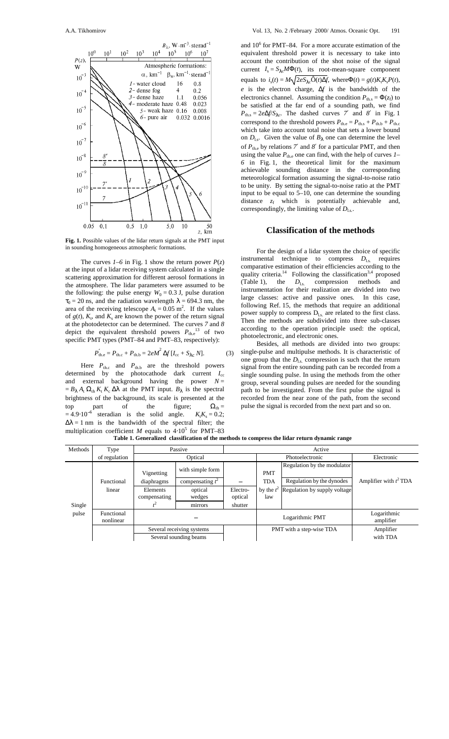

**Fig. 1.** Possible values of the lidar return signals at the PMT input in sounding homogeneous atmospheric formations.

The curves  $I-6$  in Fig. 1 show the return power  $P(z)$ at the input of a lidar receiving system calculated in a single scattering approximation for different aerosol formations in the atmosphere. The lidar parameters were assumed to be the following: the pulse energy  $W_0 = 0.3$  J, pulse duration  $\tau_0 = 20$  ns, and the radiation wavelength  $\lambda = 694.3$  nm, the area of the receiving telescope  $A_t = 0.05$  m<sup>2</sup>. If the values of  $g(t)$ ,  $K_t$ , and  $K_s$  are known the power of the return signal at the photodetector can be determined. The curves *7* and *8* depict the equivalent threshold powers  $P_{\text{the}}^{13}$  of two specific PMT types (PMT–84 and PMT–83, respectively):

$$
P'_{\text{the}} = P_{\text{th.c}} + P_{\text{th.b}} = 2eM^2 \Delta f [I_{\text{cc}} + S_{\lambda \text{c}} N]. \tag{3}
$$

Here  $P_{th,c}$  and  $P_{th,b}$  are the threshold powers determined by the photocathode dark current *I*cc and external background having the power  $N =$  $= B_{\lambda} A_t \Omega_{\text{th}} K_t K_c \Delta \lambda$  at the PMT input.  $B_{\lambda}$  is the spectral brightness of the background, its scale is presented at the top part of the figure;  $\Omega_{\text{th}} =$  $= 4.9 \cdot 10^{-6}$  steradian is the solid angle.  $K_t K_s = 0.2$ ;  $\Delta\lambda = 1$  nm is the bandwidth of the spectral filter; the multiplication coefficient *M* equals to  $4·10<sup>5</sup>$  for PMT–83

and  $10^6$  for PMT–84. For a more accurate estimation of the equivalent threshold power it is necessary to take into account the contribution of the shot noise of the signal current  $I_s = S_{\lambda c} M \Phi(t)$ , its root-mean-square component equals to  $i_s(t) = M\sqrt{2eS_{\lambda s}}\hat{O}(t)\Delta f$ , where  $\Phi(t) = g(t)K_tK_sP(t)$ , *e* is the electron charge, ∆*f* is the bandwidth of the electronics channel. Assuming the condition  $P_{\text{th s}} = \Phi(z_f)$  to be satisfied at the far end of a sounding path, we find  $P_{\text{th.s}} = 2e\Delta f/S_{\lambda c}$ . The dashed curves *7'* and *8'* in Fig. 1 correspond to the threshold powers  $P_{\text{the}} = P_{\text{th.s}} + P_{\text{th.b}} + P_{\text{th.c}}$ which take into account total noise that sets a lower bound on  $D_{\text{ls}}$ . Given the value of  $B_{\lambda}$  one can determine the level of  $P_{\text{the}}$  by relations  $7'$  and  $8'$  for a particular PMT, and then using the value  $P_{\text{the}}$  one can find, with the help of curves  $I-$ *6* in Fig. 1, the theoretical limit for the maximum achievable sounding distance in the corresponding meteorological formation assuming the signal-to-noise ratio to be unity. By setting the signal-to-noise ratio at the PMT input to be equal to 5–10, one can determine the sounding distance  $z_f$  which is potentially achievable and, correspondingly, the limiting value of  $D_{\text{ls}}$ .

# **Classification of the methods**

For the design of a lidar system the choice of specific instrumental technique to compress  $D_{\text{ls}}$  requires comparative estimation of their efficiencies according to the quality criteria.<sup>14</sup> Following the classification<sup>3,4</sup> proposed (Table 1), the  $D_{\text{Ls}}$  compression methods and instrumentation for their realization are divided into two large classes: active and passive ones. In this case, following Ref. 15, the methods that require an additional power supply to compress  $D_{ls}$  are related to the first class. Then the methods are subdivided into three sub-classes according to the operation principle used: the optical, photoelectronic, and electronic ones.

Besides, all methods are divided into two groups: single-pulse and multipulse methods. It is characteristic of one group that the  $D_{\text{ls}}$  compression is such that the return signal from the entire sounding path can be recorded from a single sounding pulse. In using the methods from the other group, several sounding pulses are needed for the sounding path to be investigated. From the first pulse the signal is recorded from the near zone of the path, from the second pulse the signal is recorded from the next part and so on.

| Methods | Type                    | Passive                                             |                                        | Active              |                          |                                                          |                          |
|---------|-------------------------|-----------------------------------------------------|----------------------------------------|---------------------|--------------------------|----------------------------------------------------------|--------------------------|
|         | of regulation           |                                                     |                                        | Photoelectronic     |                          | Electronic                                               |                          |
|         | Functional              | Vignetting<br>diaphragms                            | with simple form<br>compensating $t^2$ |                     | <b>PMT</b><br><b>TDA</b> | Regulation by the modulator<br>Regulation by the dynodes | Amplifier with $t^2$ TDA |
|         | linear                  | Elements<br>compensating                            | optical<br>wedges                      | Electro-<br>optical | law                      | by the $t^2$ Regulation by supply voltage                |                          |
| Single  |                         |                                                     | mirrors                                | shutter             |                          |                                                          |                          |
| pulse   | Functional<br>nonlinear | Several receiving systems<br>Several sounding beams |                                        |                     | Logarithmic PMT          |                                                          | Logarithmic<br>amplifier |
|         |                         |                                                     |                                        |                     | PMT with a step-wise TDA |                                                          | Amplifier                |
|         |                         |                                                     |                                        |                     |                          |                                                          | with TDA                 |

**Table 1. Generalized classification of the methods to compress the lidar return dynamic range**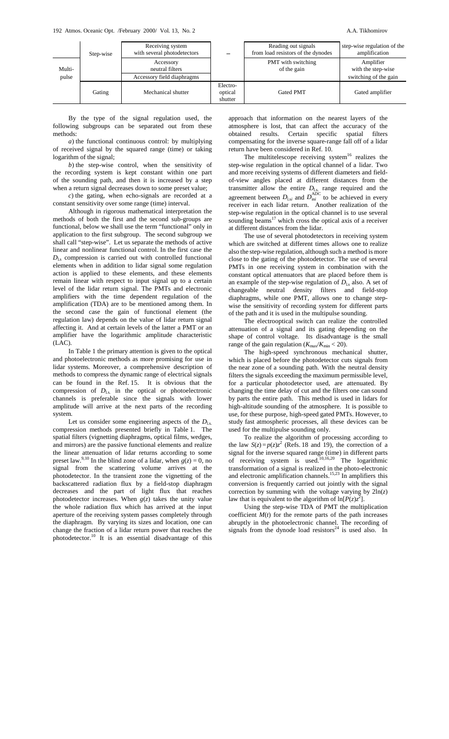|                 | Step-wise | Receiving system<br>with several photodetectors            |                                | Reading out signals<br>from load resistors of the dynodes | step-wise regulation of the<br>amplification             |
|-----------------|-----------|------------------------------------------------------------|--------------------------------|-----------------------------------------------------------|----------------------------------------------------------|
| Multi-<br>pulse |           | Accessory<br>neutral filters<br>Accessory field diaphragms |                                | PMT with switching<br>of the gain                         | Amplifier<br>with the step-wise<br>switching of the gain |
|                 | Gating    | Mechanical shutter                                         | Electro-<br>optical<br>shutter | <b>Gated PMT</b>                                          | Gated amplifier                                          |

By the type of the signal regulation used, the following subgroups can be separated out from these methods:

*a*) the functional continuous control: by multiplying of received signal by the squared range (time) or taking logarithm of the signal;

*b*) the step-wise control, when the sensitivity of the recording system is kept constant within one part of the sounding path, and then it is increased by a step when a return signal decreases down to some preset value;

*c*) the gating, when echo-signals are recorded at a constant sensitivity over some range (time) interval.

Although in rigorous mathematical interpretation the methods of both the first and the second sub-groups are functional, below we shall use the term "functional" only in application to the first subgroup. The second subgroup we shall call "step-wise". Let us separate the methods of active linear and nonlinear functional control. In the first case the  $D_{\text{ls}}$  compression is carried out with controlled functional elements when in addition to lidar signal some regulation action is applied to these elements, and these elements remain linear with respect to input signal up to a certain level of the lidar return signal. The PMTs and electronic amplifiers with the time dependent regulation of the amplification (TDA) are to be mentioned among them. In the second case the gain of functional element (the regulation law) depends on the value of lidar return signal affecting it. And at certain levels of the latter a PMT or an amplifier have the logarithmic amplitude characteristic (LAC).

In Table 1 the primary attention is given to the optical and photoelectronic methods as more promising for use in lidar systems. Moreover, a comprehensive description of methods to compress the dynamic range of electrical signals can be found in the Ref. 15. It is obvious that the compression of  $D_{\text{Ls}}$  in the optical or photoelectronic channels is preferable since the signals with lower amplitude will arrive at the next parts of the recording system.

Let us consider some engineering aspects of the  $D_{1s}$ . compression methods presented briefly in Table 1. The spatial filters (vignetting diaphragms, optical films, wedges, and mirrors) are the passive functional elements and realize the linear attenuation of lidar returns according to some preset law.<sup>9,10</sup> In the blind zone of a lidar, when  $g(z) = 0$ , no signal from the scattering volume arrives at the photodetector. In the transient zone the vignetting of the backscattered radiation flux by a field-stop diaphragm decreases and the part of light flux that reaches photodetector increases. When  $g(z)$  takes the unity value the whole radiation flux which has arrived at the input aperture of the receiving system passes completely through the diaphragm. By varying its sizes and location, one can change the fraction of a lidar return power that reaches the photodetector.10 It is an essential disadvantage of this approach that information on the nearest layers of the atmosphere is lost, that can affect the accuracy of the obtained results. Certain specific spatial filters compensating for the inverse square-range fall off of a lidar return have been considered in Ref. 10.

The multitelescope receiving system $16$  realizes the step-wise regulation in the optical channel of a lidar. Two and more receiving systems of different diameters and fieldof-view angles placed at different distances from the transmitter allow the entire  $D_{\text{ls}}$  range required and the agreement between  $D_{\text{1}}$ <sub>si</sub> and  $D_{\text{ini}}^{\text{ADC}}$  to be achieved in every receiver in each lidar return. Another realization of the step-wise regulation in the optical channel is to use several sounding beams $17$  which cross the optical axis of a receiver at different distances from the lidar.

The use of several photodetectors in receiving system which are switched at different times allows one to realize also the step-wise regulation, although such a method is more close to the gating of the photodetector. The use of several PMTs in one receiving system in combination with the constant optical attenuators that are placed before them is an example of the step-wise regulation of  $D_{\text{ls}}$  also. A set of changeable neutral density filters and field-stop diaphragms, while one PMT, allows one to change stepwise the sensitivity of recording system for different parts of the path and it is used in the multipulse sounding.

The electrooptical switch can realize the controlled attenuation of a signal and its gating depending on the shape of control voltage. Its disadvantage is the small range of the gain regulation  $(K_{\text{max}}/K_{\text{min}} < 20)$ .

The high-speed synchronous mechanical shutter, which is placed before the photodetector cuts signals from the near zone of a sounding path. With the neutral density filters the signals exceeding the maximum permissible level, for a particular photodetector used, are attenuated. By changing the time delay of cut and the filters one can sound by parts the entire path. This method is used in lidars for high-altitude sounding of the atmosphere. It is possible to use, for these purpose, high-speed gated PMTs. However, to study fast atmospheric processes, all these devices can be used for the multipulse sounding only.

To realize the algorithm of processing according to the law  $S(z) = p(z)z^2$  (Refs. 18 and 19), the correction of a signal for the inverse squared range (time) in different parts of receiving system is used.<sup>10,16,20</sup> The logarithmic transformation of a signal is realized in the photo-electronic and electronic amplification channels.<sup>15,23</sup> In amplifiers this conversion is frequently carried out jointly with the signal correction by summing with the voltage varying by 2ln(*z*) law that is equivalent to the algorithm of  $\ln[P(z)z^2]$ .

Using the step-wise TDA of PMT the multiplication coefficient  $M(t)$  for the remote parts of the path increases abruptly in the photoelectronic channel. The recording of signals from the dynode load resistors<sup>24</sup> is used also. In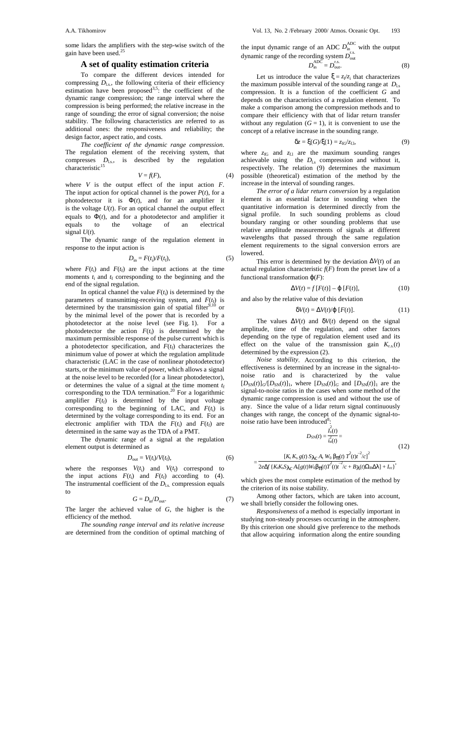some lidars the amplifiers with the step-wise switch of the gain have been used.<sup>25</sup>

# **A set of quality estimation criteria**

To compare the different devices intended for compressing  $D_{\text{ls}}$ , the following criteria of their efficiency estimation have been proposed<sup>3,5</sup>: the coefficient of the dynamic range compression; the range interval where the compression is being performed; the relative increase in the range of sounding; the error of signal conversion; the noise stability. The following characteristics are referred to as additional ones: the responsiveness and reliability; the design factor, aspect ratio, and costs.

*The coefficient of the dynamic range compression*. The regulation element of the receiving system, that compresses  $D_{\text{ls}}$ , is described by the regulation characteristic $15$ 

$$
V = f(F),\tag{4}
$$

where *V* is the output effect of the input action *F*. The input action for optical channel is the power  $P(t)$ , for a photodetector it is  $\Phi(t)$ , and for an amplifier it is the voltage  $U(t)$ . For an optical channel the output effect equals to  $\Phi(t)$ , and for a photodetector and amplifier it equals to the voltage of an electrical equals to the voltage of an electrical signal  $U(t)$ .

The dynamic range of the regulation element in response to the input action is

$$
D_{\text{in}} = F(t_{\text{i}})/F(t_{\text{f}}),\tag{5}
$$

where  $F(t_i)$  and  $F(t_f)$  are the input actions at the time moments  $t_i$  and  $t_f$  corresponding to the beginning and the end of the signal regulation.

In optical channel the value  $F(t_i)$  is determined by the parameters of transmitting-receiving system, and  $F(t_f)$  is determined by the transmission gain of spatial filter $9,10$  or by the minimal level of the power that is recorded by a photodetector at the noise level (see Fig. 1). For a photodetector the action  $F(t_i)$  is determined by the maximum permissible response of the pulse current which is a photodetector specification, and  $F(t_f)$  characterizes the minimum value of power at which the regulation amplitude characteristic (LAC in the case of nonlinear photodetector) starts, or the minimum value of power, which allows a signal at the noise level to be recorded (for a linear photodetector), or determines the value of a signal at the time moment  $t_f$ corresponding to the TDA termination.<sup>20</sup> For a logarithmic amplifier  $F(t_f)$  is determined by the input voltage corresponding to the beginning of LAC, and  $F(t_1)$  is determined by the voltage corresponding to its end. For an electronic amplifier with TDA the  $F(t_i)$  and  $F(t_f)$  are determined in the same way as the TDA of a PMT.

The dynamic range of a signal at the regulation element output is determined as

$$
D_{\text{out}} = V(t_{\text{i}})/V(t_{\text{f}}),\tag{6}
$$

where the responses  $V(t_i)$  and  $V(t_f)$  correspond to the input actions  $F(t_i)$  and  $F(t_f)$  according to (4). The instrumental coefficient of the  $D_{\text{ls}}$  compression equals to

$$
G = D_{\rm in}/D_{\rm out}.\tag{7}
$$

The larger the achieved value of *G*, the higher is the efficiency of the method.

*The sounding range interval and its relative increase* are determined from the condition of optimal matching of the input dynamic range of an ADC  $D_{\text{in}}^{\text{ADC}}$  with the output dynamic range of the recording system  $D_{\text{out}}^{\text{r.s.}}$ 

$$
D_{\text{in}}^{\text{ADC}} = D_{\text{out}}^{\text{r.s.}} \tag{8}
$$

Let us introduce the value  $\xi = z_f/z_i$  that characterizes the maximum possible interval of the sounding range at  $D_{\text{ls}}$ compression. It is a function of the coefficient *G* and depends on the characteristics of a regulation element. To make a comparison among the compression methods and to compare their efficiency with that of lidar return transfer without any regulation  $(G = 1)$ , it is convenient to use the concept of a relative increase in the sounding range.

$$
\delta z = \xi(G)/\xi(1) = z_{fG}/z_{f,1},\tag{9}
$$

where  $z_{\text{fG}}$  and  $z_{\text{f}l}$  are the maximum sounding ranges achievable using the  $D_{\text{ls}}$  compression and without it, respectively. The relation (9) determines the maximum possible (theoretical) estimation of the method by the increase in the interval of sounding ranges.

*The error of a lidar return conversion* by a regulation element is an essential factor in sounding when the quantitative information is determined directly from the signal profile. In such sounding problems as cloud boundary ranging or other sounding problems that use relative amplitude measurements of signals at different wavelengths that passed through the same regulation element requirements to the signal conversion errors are lowered.

This error is determined by the deviation ∆*V*(*t*) of an actual regulation characteristic  $f(F)$  from the preset law of a functional transformation  $\varphi(F)$ :

$$
\Delta V(t) = f[F(t)] - \varphi[F(t)],\tag{10}
$$

and also by the relative value of this deviation

$$
\delta V(t) = \Delta V(t) / \varphi [F(t)]. \qquad (11)
$$

The values  $\Delta V(t)$  and  $\delta V(t)$  depend on the signal amplitude, time of the regulation, and other factors depending on the type of regulation element used and its effect on the value of the transmission gain  $K_{r,s}(t)$ determined by the expression (2).

*Noise stability*. According to this criterion, the effectiveness is determined by an increase in the signal-tonoise ratio and is characterized by the value  $[D_{SN}(t)]_G/[D_{SN}(t)]_1$ , where  $[D_{SN}(t)]_G$  and  $[D_{SN}(t)]_1$  are the signal-to-noise ratios in the cases when some method of the dynamic range compression is used and without the use of any. Since the value of a lidar return signal continuously changes with range, the concept of the dynamic signal-tonoise ratio have been introduced<sup>8</sup>:

$$
D_{\rm SN}(t) = \frac{\hat{I}_{\rm s}(t)}{\hat{i}_{\rm n}(t)} =
$$
\n(12)

$$
=\frac{[K_t K_s g(t) S_{\lambda c} A_t W_0 \beta_{\pi}(t) T^2(t) t^{-2}/c]^2}{2e\Delta f \{K_t K_s S_{\lambda c} A_t [g(t) W_0 \beta_{\pi}(t) T^2(t) t^{-2}/c + B_{\lambda}(t) \Omega_{\text{th}} \Delta \lambda] + I_{\text{cc}}\}},
$$

which gives the most complete estimation of the method by the criterion of its noise stability.

Among other factors, which are taken into account, we shall briefly consider the following ones.

*Responsiveness* of a method is especially important in studying non-steady processes occurring in the atmosphere. By this criterion one should give preference to the methods that allow acquiring information along the entire sounding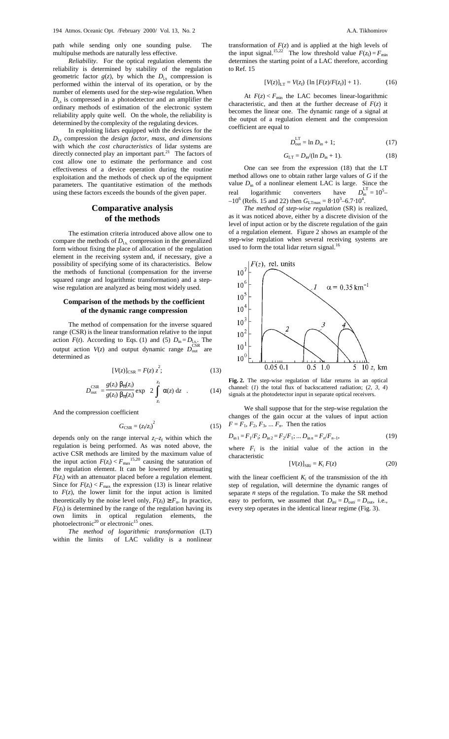path while sending only one sounding pulse. The multipulse methods are naturally less effective.

*Reliability*. For the optical regulation elements the reliability is determined by stability of the regulation geometric factor  $g(z)$ , by which the  $D_{\text{ls}}$  compression is performed within the interval of its operation, or by the number of elements used for the step-wise regulation. When  $D_{\text{Ls}}$  is compressed in a photodetector and an amplifier the ordinary methods of estimation of the electronic system reliability apply quite well. On the whole, the reliability is determined by the complexity of the regulating devices.

In exploiting lidars equipped with the devices for the *D*l.s compression the *design factor, mass*, *and dimensions* with which *the cost characteristics* of lidar systems are directly connected play an important part. $^{21}$  The factors of cost allow one to estimate the performance and cost effectiveness of a device operation during the routine exploitation and the methods of check up of the equipment parameters. The quantitative estimation of the methods using these factors exceeds the bounds of the given paper.

# **Comparative analysis of the methods**

The estimation criteria introduced above allow one to compare the methods of  $D_{\text{ls}}$  compression in the generalized form without fixing the place of allocation of the regulation element in the receiving system and, if necessary, give a possibility of specifying some of its characteristics. Below the methods of functional (compensation for the inverse squared range and logarithmic transformation) and a stepwise regulation are analyzed as being most widely used.

#### **Comparison of the methods by the coefficient of the dynamic range compression**

The method of compensation for the inverse squared range (CSR) is the linear transformation relative to the input action  $F(t)$ . According to Eqs. (1) and (5)  $D_{\text{in}} = D_{\text{l.s.}}$ . The output action  $V(z)$  and output dynamic range  $D_{\text{out}}^{\text{CSR}}$  are determined as

$$
[V(z)]_{\text{CSR}} = F(z) z^2; \tag{13}
$$

$$
D_{\text{out}}^{\text{CSR}} = \frac{g(z_i)}{g(z_f)} \frac{\beta_{\pi}(z_i)}{\beta_{\pi}(z_i)} \exp\left[2 \int_{z_i}^{z_f} \alpha(z) \, \mathrm{d}z\right]. \tag{14}
$$

And the compression coefficient

$$
G_{\text{CSR}} = (z_{\text{f}}/z_{\text{i}})^2 \tag{15}
$$

depends only on the range interval  $z_i$ - $z_f$  within which the regulation is being performed. As was noted above, the active CSR methods are limited by the maximum value of the input action  $F(z_i) < F_{\text{max}}^{15,20}$  causing the saturation of the regulation element. It can be lowered by attenuating  $F(z_i)$  with an attenuator placed before a regulation element. Since for  $F(z_i) < F_{\text{max}}$  the expression (13) is linear relative to  $F(z)$ , the lower limit for the input action is limited theoretically by the noise level only,  $F(z_f) \geq F_n$ . In practice,  $F(z_f)$  is determined by the range of the regulation having its own limits in optical regulation elements, the photoelectronic<sup>20</sup> or electronic<sup>15</sup> ones.

*The method of logarithmic transformation* (LT) within the limits of LAC validity is a nonlinear transformation of  $F(z)$  and is applied at the high levels of the input signal.<sup>15,22</sup> The low threshold value  $F(z_f) = F_{min}$ determines the starting point of a LAC therefore, according to Ref. 15

$$
[V(z)]_{LT} = V(z_f) \{ \ln [F(z)/F(z_f)] + 1 \}. \tag{16}
$$

At  $F(z) < F_{\text{min}}$  the LAC becomes linear-logarithmic characteristic, and then at the further decrease of  $F(z)$  it becomes the linear one. The dynamic range of a signal at the output of a regulation element and the compression coefficient are equal to

$$
D_{\text{out}}^{\text{LT}} = \ln D_{\text{in}} + 1; \tag{17}
$$

$$
G_{LT} = D_{in} / (\ln D_{in} + 1). \tag{18}
$$

One can see from the expression (18) that the LT method allows one to obtain rather large values of *G* if the value  $D_{\text{in}}$  of a nonlinear element LAC is large. Since the real logarithmic converters have  $n_{\text{in}}^{\text{L1}} = 10^5$  $-10^6$  (Refs. 15 and 22) then  $G_{LTmax} = 8.10^3 - 6.7 \cdot 10^4$ .

*The method of step-wise regulation* (SR) is realized, as it was noticed above, either by a discrete division of the level of input action or by the discrete regulation of the gain of a regulation element. Figure 2 shows an example of the step-wise regulation when several receiving systems are used to form the total lidar return signal.<sup>16</sup>



**Fig. 2.** The step-wise regulation of lidar returns in an optical channel: (*1*) the total flux of backscattered radiation; (*2*, *3*, *4*) signals at the photodetector input in separate optical receivers.

We shall suppose that for the step-wise regulation the changes of the gain occur at the values of input action  $F = F_1, F_2, F_3, \dots F_n$ . Then the ratios

$$
D_{\text{in 1}} = F_1/F_1; \ D_{\text{in 2}} = F_2/F_1; \dots D_{\text{in n}} = F_n/F_{n-1},\tag{19}
$$

where  $F_i$  is the initial value of the action in the characteristic

$$
[V(z)]_{SRi} = K_i F(z) \tag{20}
$$

with the linear coefficient  $K_i$  of the transmission of the *i*th step of regulation, will determine the dynamic ranges of separate *n* steps of the regulation. To make the SR method easy to perform, we assumed that  $D_{\text{ini}} = D_{\text{out}} = D_{\text{out}}$ , i.e., every step operates in the identical linear regime (Fig. 3).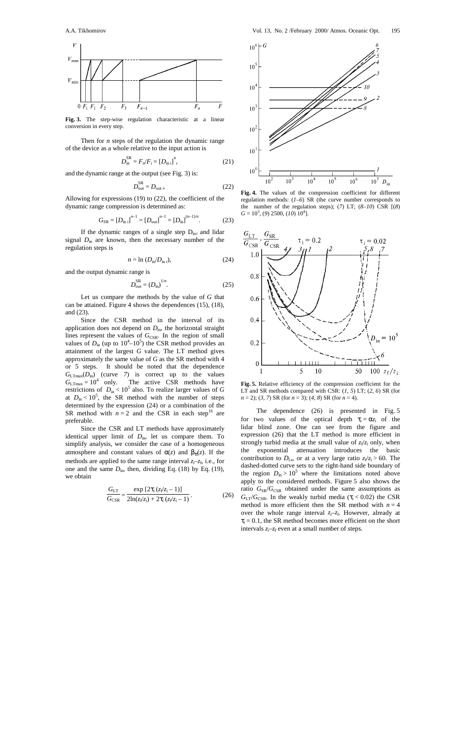

**Fig. 3.** The step-wise regulation characteristic at a linear conversion in every step.

Then for *n* steps of the regulation the dynamic range of the device as a whole relative to the input action is

$$
D_{\text{in}}^{\text{SR}} = F_n / F_i = [D_{\text{in }i}]^n, \tag{21}
$$

and the dynamic range at the output (see Fig. 3) is:

$$
D_{\text{out}}^{\text{SR}} = D_{\text{out } i}.
$$
 (22)

Allowing for expressions (19) to (22), the coefficient of the dynamic range compression is determined as:

$$
G_{\rm SR} = [D_{\rm in\,i}]^{n-1} = [D_{\rm out}]^{n-1} = [D_{\rm in}]^{(n-1)/n}.
$$
 (23)

If the dynamic ranges of a single step  $D_{\text{in}i}$  and lidar signal  $D_{\text{in}}$  are known, then the necessary number of the regulation steps is

$$
n = \ln (D_{\text{in}}/D_{\text{in}}),\tag{24}
$$

and the output dynamic range is

$$
D_{\text{out}}^{\text{SR}} = (D_{\text{in}})^{1/n}.
$$

Let us compare the methods by the value of *G* that can be attained. Figure 4 shows the dependences (15), (18), and (23).

Since the CSR method in the interval of its application does not depend on  $D<sub>in</sub>$ , the horizontal straight lines represent the values of *G*<sub>CSR</sub>. In the region of small values of  $D_{\text{in}}$  (up to  $10^4 - 10^5$ ) the CSR method provides an attainment of the largest *G* value. The LT method gives approximately the same value of *G* as the SR method with 4 or 5 steps. It should be noted that the dependence  $G_{\text{LTmax}}(D_{\text{in}})$  (curve 7) is correct up to the values  $G_{\text{LTmax}} = 10^4$  only. The active CSR methods have restrictions of  $D_{\text{in}} < 10^5$  also. To realize larger values of *G* at  $D_{\text{in}} < 10^5$ , the SR method with the number of steps determined by the expression (24) or a combination of the SR method with  $n = 2$  and the CSR in each step<sup>16</sup> are preferable.

Since the CSR and LT methods have approximately identical upper limit of  $D_{\text{in}}$ , let us compare them. To simplify analysis, we consider the case of a homogeneous atmosphere and constant values of  $α(z)$  and  $β_π(z)$ . If the methods are applied to the same range interval  $z_i$ – $z_f$ , i.e., for one and the same  $D_{\text{in}}$ , then, dividing Eq. (18) by Eq. (19), we obtain

$$
\frac{G_{\rm LT}}{G_{\rm CSR}} = \frac{\exp\left[2\tau_{\rm i}\left(z_{\rm f}/z_{\rm i}-1\right)\right]}{2\ln(z_{\rm f}/z_{\rm i}) + 2\tau_{\rm i}\left(z_{\rm f}/z_{\rm i}-1\right)}.\tag{26}
$$



**Fig. 4.** The values of the compression coefficient for different regulation methods: (*1*–*6*) SR (the curve number corresponds to the number of the regulation steps); (*7*) LT; (*8*–*10*) CSR [(*8*)  $G = 10^3$ , (9) 2500, (10)  $10^4$ ].



**Fig. 5.** Relative efficiency of the compression coefficient for the LT and SR methods compared with CSR: (*1*, *5*) LT; (*2*, *6*) SR (for *n* = 2); (*3*, *7*) SR (for *n* = 3); (*4*, *8*) SR (for *n* = 4).

The dependence (26) is presented in Fig. 5 for two values of the optical depth  $\tau_i = \alpha z_i$  of the lidar blind zone. One can see from the figure and expression (26) that the LT method is more efficient in strongly turbid media at the small value of  $z_f/z_i$  only, when the exponential attenuation introduces the basic contribution to  $D_{\text{ls}}$ , or at a very large ratio  $z_f/z_i > 60$ . The dashed-dotted curve sets to the right-hand side boundary of the region  $D_{\text{in}} > 10^5$  where the limitations noted above apply to the considered methods. Figure 5 also shows the ratio  $G_{SR}/G_{CSR}$  obtained under the same assumptions as  $G_{LT}/G_{CSR}$ . In the weakly turbid media ( $\tau_i < 0.02$ ) the CSR method is more efficient then the SR method with  $n = 4$ over the whole range interval  $z_i$ - $z_f$ . However, already at  $\tau_i = 0.1$ , the SR method becomes more efficient on the short intervals  $z_i$ - $z_f$  even at a small number of steps.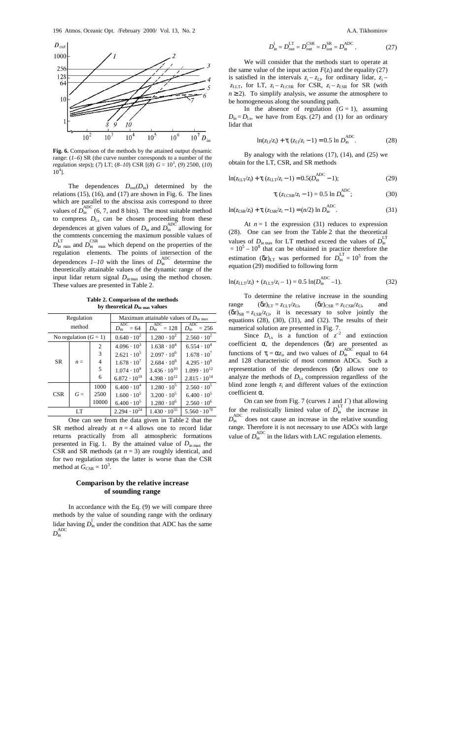

**Fig. 6.** Comparison of the methods by the attained output dynamic range: (*1*–*6*) SR (the curve number corresponds to a number of the regulation steps); (*7*) LT; (*8*–*10*) CSR [(*8*) *G* = 10<sup>3</sup> , (*9*) 2500, (*10*)  $10^4$ ].

The dependences  $D_{\text{out}}(D_{\text{in}})$  determined by the relations  $(15)$ ,  $(16)$ , and  $(17)$  are shown in Fig. 6. The lines which are parallel to the abscissa axis correspond to three values of  $\overline{D}_{\text{in}}^{\text{ADC}}$  (6, 7, and 8 bits). The most suitable method to compress  $D_{\text{ls}}$  can be chosen proceeding from these dependences at given values of  $D_{\text{in}}$  and  $D_{\text{in}}^{\text{ADC}}$  allowing for the comments concerning the maximum possible values of  $D_{\text{in max}}^{\text{LT}}$  and  $D_{\text{in max}}^{\text{CSR}}$  which depend on the properties of the regulation elements. The points of intersection of the dependences  $I - I0$  with the lines of  $D_{\text{in}}^{\text{ADC}}$  determine the theoretically attainable values of the dynamic range of the input lidar return signal *D*inmax using the method chosen. These values are presented in Table 2.

**Table 2. Comparison of the methods by theoretical** *D***in max values**

| Regulation              |       |       | Maximum attainable values of $D_{\text{in max}}$ |                                           |                                           |  |
|-------------------------|-------|-------|--------------------------------------------------|-------------------------------------------|-------------------------------------------|--|
| method                  |       |       | ADC<br>$= 64$<br>$D_{\rm in}$                    | ADC<br>$D_{\text{in}}^{\text{max}} = 128$ | ADC<br>$D_{\text{in}}^{\text{max}}$ = 256 |  |
| No regulation $(G = 1)$ |       |       | $0.640 \cdot 10^{2}$                             | $1.280 \cdot 10^{2}$                      | $2.560 \cdot 10^{2}$                      |  |
| <b>SR</b>               | $n =$ | 2     | $4.096 \cdot 10^{3}$                             | $1.638 \cdot 10^{4}$                      | $6.554 \cdot 10^{4}$                      |  |
|                         |       | 3     | $2.621 \cdot 10^5$                               | $2.097 \cdot 10^6$                        | $1.678 \cdot 10^{7}$                      |  |
|                         |       | 4     | $1.678 \cdot 10^{7}$                             | $2.684 \cdot 10^8$                        | $4.295 \cdot 10^{9}$                      |  |
|                         |       | 5     | $1.074 \cdot 10^{9}$                             | $3.436 \cdot 10^{10}$                     | $1.099 \cdot 10^{12}$                     |  |
|                         |       | 6     | $6.872 \cdot 10^{10}$                            | $4.398 \cdot 10^{12}$                     | $2.815 \cdot 10^{14}$                     |  |
| <b>CSR</b>              | $G =$ | 1000  | $6.400 \cdot 10^{4}$                             | $1.280 \cdot 10^5$                        | $2.560 \cdot 10^5$                        |  |
|                         |       | 2500  | $1.600 \cdot 10^5$                               | $3.200 \cdot 10^5$                        | $6.400 \cdot 10^5$                        |  |
|                         |       | 10000 | $6.400 \cdot 10^5$                               | $1.280 \cdot 10^6$                        | $2.560 \cdot 10^{6}$                      |  |
| LT                      |       |       | $2.294 \cdot 10^{24}$                            | $1.430 \cdot 10^{55}$                     | $5.560 \cdot 10^{70}$                     |  |

One can see from the data given in Table 2 that the SR method already at  $n = 4$  allows one to record lidar returns practically from all atmospheric formations presented in Fig. 1. By the attained value of  $D_{\text{in max}}$  the CSR and SR methods (at  $n = 3$ ) are roughly identical, and for two regulation steps the latter is worse than the CSR method at  $G_{\text{CSR}} = 10^3$ .

# **Comparison by the relative increase of sounding range**

In accordance with the Eq. (9) we will compare three methods by the value of sounding range with the ordinary lidar having  $D<sub>in</sub><sup>1</sup>$  under the condition that ADC has the same  $D_{\rm in}^{\rm ADC}$ 

$$
D_{\text{in}}^{1} = D_{\text{out}}^{\text{LT}} = D_{\text{out}}^{\text{CSR}} = D_{\text{out}}^{\text{SR}} = D_{\text{in}}^{\text{ADC}}.
$$
 (27)

We will consider that the methods start to operate at the same value of the input action  $F(z_i)$  and the equality (27) is satisfied in the intervals  $z_i - z_{f,1}$ , for ordinary lidar,  $z_i$  $z_{f,LT}$ , for LT,  $z_i - z_{f,CSR}$  for CSR,  $z_i - z_{f,SR}$  for SR (with  $n \geq 2$ ). To simplify analysis, we assume the atmosphere to be homogeneous along the sounding path.

In the absence of regulation  $(G = 1)$ , assuming  $D_{in} = D_{ls}$ , we have from Eqs. (27) and (1) for an ordinary lidar that

$$
\ln(z_{\rm f1}/z_{\rm i}) + \tau_{\rm i} (z_{\rm f1}/z_{\rm i} - 1) = 0.5 \ln D_{\rm in}^{\rm ADC}.
$$
 (28)

By analogy with the relations  $(17)$ ,  $(14)$ , and  $(25)$  we obtain for the LT, CSR, and SR methods

$$
\ln(z_{fLT}/z_i) + \tau_i (z_{fLT}/z_i - 1) = 0.5(D_{in}^{\text{ADC}} - 1); \tag{29}
$$

$$
\tau_{i} (z_{f.CSR}/z_{i} - 1) = 0.5 \ln D_{in}^{\text{ADC}}; \tag{30}
$$

$$
\ln(z_{f.SR}/z_i) + \tau_i (z_{f.SR}/z_i - 1) = (n/2) \ln D_{in}^{\text{ADC}}.
$$
 (31)

At  $n = 1$  the expression (31) reduces to expression (28). One can see from the Table 2 that the theoretical values of  $D_{\text{in max}}$  for LT method exceed the values of  $D_{\text{in}}^{\text{L1}}$  $= 10<sup>5</sup> - 10<sup>8</sup>$  that can be obtained in practice therefore the estimation  $(\delta z)_{LT}$  was performed for  $D_{in}^{LT} = 10^5$  from the equation (29) modified to following form

$$
\ln(z_{fLT}/z_i) + (z_{fLT}/z_i - 1) = 0.5 \ln(D_{in}^{\text{ADC}} - 1). \tag{32}
$$

To determine the relative increase in the sounding  $range$   $(\delta z)_{LT} = z_{f,LT}/z_{f,l}$ ,  $(\delta z)_{CSR} = z_{f,CSR}/z_{f,l}$ , and  $(\delta z)_{SR} = z_{f,SR}/z_{f,l}$ , it is necessary to solve jointly the equations  $(28)$ ,  $(30)$ ,  $(31)$ , and  $(32)$ . The results of their numerical solution are presented in Fig. 7.

Since  $D_{\text{ls}}$  is a function of  $z^{-2}$  and extinction coefficient α, the dependences (δ*z*) are presented as functions of  $\tau_i = \alpha z_i$ , and two values of  $D_{in}^{ADC}$  equal to 64 and 128 characteristic of most common ADCs. Such a representation of the dependences (δ*z*) allows one to analyze the methods of  $D_{ls}$  compression regardless of the blind zone length  $z_i$  and different values of the extinction coefficient α.

On can see from Fig. 7 (curves *1* and *1*′) that allowing for the realistically limited value of  $D_{\text{in}}^{\text{LT}}$  the increase in  $D_{\text{in}}^{\text{ADC}}$  does not cause an increase in the relative sounding range. Therefore it is not necessary to use ADCs with large value of  $D_{\text{in}}^{\text{ADC}}$  in the lidars with LAC regulation elements.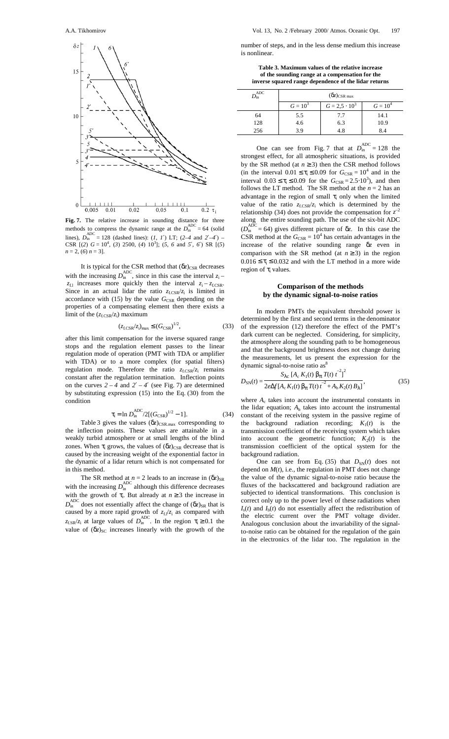

**Fig. 7.** The relative increase in sounding distance for three methods to compress the dynamic range at the  $D_{\text{in}}^{\text{ADC}} = 64$  (solid lines),  $D_{\text{in}}^{\text{ADC}} = 128$  (dashed lines): (*1*, *1*′) LT; (2–4 and 2′–4′) – CSR  $[(2)$   $G = 10^4$ ,  $(3)$  2500,  $(4)$   $10^3$ ;  $(5, 6$  and  $5'$ ,  $6'$ ) SR  $[(5)$  $n = 2$ , (6)  $n = 3$ ].

It is typical for the CSR method that (δ*z*)<sub>CSR</sub> decreases with the increasing  $D_{\text{in}}^{\text{ADC}}$ , since in this case the interval  $z_i$  $z_{\text{f}1}$  increases more quickly then the interval  $z_i - z_{\text{f.CSR}}$ . Since in an actual lidar the ratio  $z_{f,\text{CSR}}/z_i$  is limited in accordance with  $(15)$  by the value  $G_{\text{CSR}}$  depending on the properties of a compensating element then there exists a limit of the  $(z_{f,CSR}/z_i)$  maximum

$$
(z_{\text{f.CSR}}/z_i)_{\text{max}} \le (G_{\text{CSR}})^{1/2},\tag{33}
$$

after this limit compensation for the inverse squared range stops and the regulation element passes to the linear regulation mode of operation (PMT with TDA or amplifier with TDA) or to a more complex (for spatial filters) regulation mode. Therefore the ratio  $z_{f,CSR}/z_i$  remains constant after the regulation termination. Inflection points on the curves  $2 - 4$  and  $2' - 4'$  (see Fig. 7) are determined by substituting expression (15) into the Eq. (30) from the condition

$$
\tau_{\rm i} = \ln D_{\rm in}^{\rm ADC} / 2[(G_{\rm CSR})^{1/2} - 1]. \tag{34}
$$

Table 3 gives the values  $(\delta z)_{\text{CSR.max}}$  corresponding to the inflection points. These values are attainable in a weakly turbid atmosphere or at small lengths of the blind zones. When  $\tau$ <sub>i</sub> grows, the values of  $(\delta z)_{CSR}$  decrease that is caused by the increasing weight of the exponential factor in the dynamic of a lidar return which is not compensated for in this method.

The SR method at  $n = 2$  leads to an increase in  $(\delta z)_{SR}$ with the increasing  $D_{\text{in}}^{\text{ADC}}$  although this difference decreases with the growth of  $\tau_i$ . But already at  $n \geq 3$  the increase in  $D_{\text{in}}^{\text{ADC}}$  does not essentially affect the change of  $(\delta z)_{\text{SR}}$  that is caused by a more rapid growth of  $z_f z_i$  as compared with  $z_{f,SR}/z_i$  at large values of  $D_{in}^{ADC}$ . In the region  $\tau_i \ge 0.1$  the value of  $(\delta z)_{SC}$  increases linearly with the growth of the

number of steps, and in the less dense medium this increase is nonlinear.

**Table 3. Maximum values of the relative increase of the sounding range at a compensation for the inverse squared range dependence of the lidar returns**

| $D_{\rm in}^{\rm ADC}$ | $(\delta z)_{\text{CSR max}}$ |                      |            |  |  |
|------------------------|-------------------------------|----------------------|------------|--|--|
|                        | $G = 10^3$                    | $G = 2.5 \cdot 10^3$ | $G = 10^4$ |  |  |
| 64                     | 5.5                           | 7.7                  | 14.1       |  |  |
| 128                    | 4.6                           | 6.3                  | 10.9       |  |  |
| 256                    | 3.9                           | 4.8                  | 8.4        |  |  |

One can see from Fig. 7 that at  $D_{\text{in}}^{\text{ADC}} = 128$  the strongest effect, for all atmospheric situations, is provided by the SR method (at  $n \geq 3$ ) then the CSR method follows (in the interval  $0.01 \le \tau_i \le 0.09$  for  $G_{CSR} = 10^4$  and in the interval  $0.03 \le \tau_i \le 0.09$  for the  $G_{\text{CSR}} = 2.5 \cdot 10^3$ , and then follows the LT method. The SR method at the  $n = 2$  has an advantage in the region of small  $\tau_i$  only when the limited value of the ratio  $z_{f,\text{CSR}}/z_i$  which is determined by the relationship (34) does not provide the compensation for  $z^{-2}$ along the entire sounding path. The use of the six-bit ADC  $(D_{\text{in}}^{\text{ADC}} = 64)$  gives different picture of  $\delta z$ . In this case the CSR method at the  $G_{\text{CSR}} = 10^4$  has certain advantages in the increase of the relative sounding range δ*z* even in comparison with the SR method (at  $n \ge 3$ ) in the region  $0.016 \le \tau_i \le 0.032$  and with the LT method in a more wide region of  $\tau$ <sub>i</sub> values.

### **Comparison of the methods by the dynamic signal-to-noise ratios**

In modern PMTs the equivalent threshold power is determined by the first and second terms in the denominator of the expression (12) therefore the effect of the PMT's dark current can be neglected. Considering, for simplicity, the atmosphere along the sounding path to be homogeneous and that the background brightness does not change during the measurements, let us present the expression for the dynamic signal-to-noise ratio  $as^8$ 

$$
D_{\rm SN}(t) = \frac{S_{\lambda c} \left[A_c K_1(t) \beta_\pi T(t) t^{-2}\right]^2}{2e\Delta f \left[A_c K_1(t) \beta_\pi T(t) t^{-2} + A_b K_2(t) B_\lambda\right]},\tag{35}
$$

where  $A_c$  takes into account the instrumental constants in the lidar equation;  $A<sub>b</sub>$  takes into account the instrumental constant of the receiving system in the passive regime of the background radiation recording;  $K_1(t)$  is the transmission coefficient of the receiving system which takes into account the geometric function;  $K_2(t)$  is the transmission coefficient of the optical system for the background radiation.

One can see from Eq. (35) that  $D_{SN}(t)$  does not depend on  $M(t)$ , i.e., the regulation in PMT does not change the value of the dynamic signal-to-noise ratio because the fluxes of the backscattered and background radiation are subjected to identical transformations. This conclusion is correct only up to the power level of these radiations when  $I_s(t)$  and  $I_b(t)$  do not essentially affect the redistribution of the electric current over the PMT voltage divider. Analogous conclusion about the invariability of the signalto-noise ratio can be obtained for the regulation of the gain in the electronics of the lidar too. The regulation in the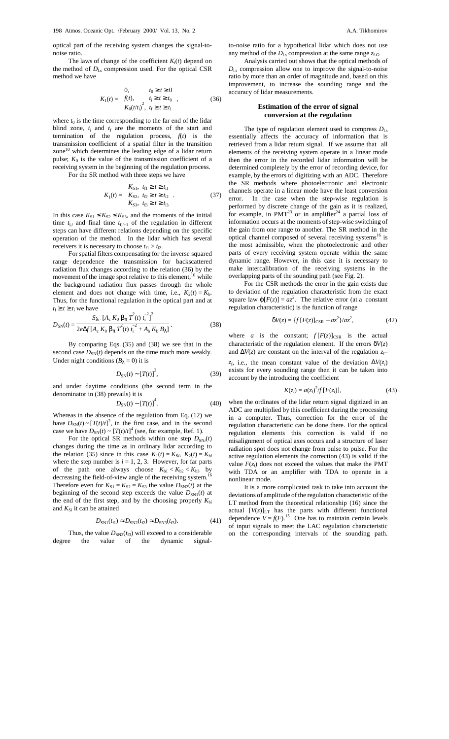optical part of the receiving system changes the signal-tonoise ratio.

The laws of change of the coefficient  $K_i(t)$  depend on the method of  $D_{\text{Ls}}$  compression used. For the optical CSR method we have

$$
K_1(t) = \begin{cases} 0, & t_0 \ge t \ge 0 \\ f(t), & t_i \ge t \ge t_0 \\ K_0(t/t_i)^2, & t_i \ge t \ge t_i \end{cases}
$$
 (36)

where  $t_0$  is the time corresponding to the far end of the lidar blind zone,  $t_i$  and  $t_f$  are the moments of the start and termination of the regulation process,  $f(t)$  is the transmission coefficient of a spatial filter in the transition zone $10$  which determines the leading edge of a lidar return pulse;  $K_0$  is the value of the transmission coefficient of a receiving system in the beginning of the regulation process.

For the SR method with three steps we have

$$
K_1(t) = \begin{cases} K_{S1}, & t_{f1} \ge t \ge t_{f1} \\ K_{S2}, & t_{f2} \ge t \ge t_{f2} \\ K_{S3}, & t_{f3} \ge t \ge t_{f3} \end{cases}
$$
 (37)

In this case  $K_{S1} \leq K_{S2} \leq K_{S3}$ , and the moments of the initial time  $t_{i,i}$  and final time  $t_{f,i+1}$  of the regulation in different steps can have different relations depending on the specific operation of the method. In the lidar which has several receivers it is necessary to choose  $t_{\rm fl} > t_{\rm i2}$ .

For spatial filters compensating for the inverse squared range dependence the transmission for backscattered radiation flux changes according to the relation (36) by the movement of the image spot relative to this element,<sup>10</sup> while the background radiation flux passes through the whole element and does not change with time, i.e.,  $K_2(t) = K_b$ . Thus, for the functional regulation in the optical part and at  $t_f \geq t \geq t_i$  we have

$$
D_{\rm SN}(t) = \frac{S_{\lambda c} \left[A_c K_0 \beta_\pi T^2(t) t_1^{-2}\right]^2}{2e\Delta f \left[A_c K_0 \beta_\pi T^2(t) t_1^{-2} + A_b K_b B_\lambda\right]}.
$$
(38)

By comparing Eqs. (35) and (38) we see that in the second case  $D_{SN}(t)$  depends on the time much more weakly. Under night conditions  $(B_\lambda = 0)$  it is

$$
D_{\rm SN}(t) \sim \left[T(t)\right]^2,\tag{39}
$$

and under daytime conditions (the second term in the denominator in (38) prevails) it is

$$
D_{\rm SN}(t) \sim \left[T(t)\right]^4. \tag{40}
$$

Whereas in the absence of the regulation from Eq. (12) we have  $D_{SN}(t) \sim [T(t)/t]^2$ , in the first case, and in the second case we have  $D_{SN}(t) \sim [T(t)/t]^4$  (see, for example, Ref. 1).

For the optical SR methods within one step  $D_{SNi}(t)$ changes during the time as in ordinary lidar according to the relation (35) since in this case  $K_1(t) = K_{Si}$ ,  $K_2(t) = K_{bi}$ where the step number is  $i = 1, 2, 3$ . However, for far parts of the path one always choose  $K_{b1} < K_{b2} < K_{b3}$  by decreasing the field-of-view angle of the receiving system.<sup>16</sup> Therefore even for  $K_{S1} = K_{S2} = K_{S3}$  the value  $D_{SN2}(t)$  at the beginning of the second step exceeds the value  $D_{SN1}(t)$  at the end of the first step, and by the choosing properly  $K_{bi}$ and  $K_{Si}$  it can be attained

$$
D_{\rm SN1}(t_{\rm fl}) \approx D_{\rm SN2}(t_{\rm fl}) \approx D_{\rm SN3}(t_{\rm fl}). \tag{41}
$$

Thus, the value  $D_{SN3}(t_{f3})$  will exceed to a considerable degree the value of the dynamic signalto-noise ratio for a hypothetical lidar which does not use any method of the  $D_{\text{Ls}}$  compression at the same range  $z_{\text{f.G}}$ .

Analysis carried out shows that the optical methods of  $D_{\text{Ls}}$  compression allow one to improve the signal-to-noise ratio by more than an order of magnitude and, based on this improvement, to increase the sounding range and the accuracy of lidar measurements.

## **Estimation of the error of signal conversion at the regulation**

The type of regulation element used to compress  $D_{\text{ls}}$ essentially affects the accuracy of information that is retrieved from a lidar return signal. If we assume that all elements of the receiving system operate in a linear mode then the error in the recorded lidar information will be determined completely by the error of recording device, for example, by the errors of digitizing with an ADC. Therefore the SR methods where photoelectronic and electronic channels operate in a linear mode have the least conversion error. In the case when the step-wise regulation is performed by discrete change of the gain as it is realized, for example, in  $PMT^{23}$  or in amplifier<sup>24</sup> a partial loss of information occurs at the moments of step-wise switching of the gain from one range to another. The SR method in the optical channel composed of several receiving systems<sup>16</sup> is the most admissible, when the photoelectronic and other parts of every receiving system operate within the same dynamic range. However, in this case it is necessary to make intercalibration of the receiving systems in the overlapping parts of the sounding path (see Fig. 2).

For the CSR methods the error in the gain exists due to deviation of the regulation characteristic from the exact square law  $\varphi[F(z)] = az^2$ . The relative error (at a constant regulation characteristic) is the function of range

$$
\delta V(z) = \{ f\left[ F(z) \right]_{\text{CSR}} - a z^2 \} / a z^2, \tag{42}
$$

where *a* is the constant;  $f[F(z)]_{CSR}$  is the actual characteristic of the regulation element. If the errors  $\delta V(z)$ and ∆*V*(*z*) are constant on the interval of the regulation *z*<sup>i</sup> –

 $z_f$ , i.e., the mean constant value of the deviation  $\Delta V(z_i)$ exists for every sounding range then it can be taken into account by the introducing the coefficient

$$
K(z_i) = a(z_i)^2 / f[F(z_i)],
$$
\n(43)

when the ordinates of the lidar return signal digitized in an ADC are multiplied by this coefficient during the processing in a computer. Thus, correction for the error of the regulation characteristic can be done there. For the optical regulation elements this correction is valid if no misalignment of optical axes occurs and a structure of laser radiation spot does not change from pulse to pulse. For the active regulation elements the correction (43) is valid if the value  $F(z_i)$  does not exceed the values that make the PMT with TDA or an amplifier with TDA to operate in a nonlinear mode.

It is a more complicated task to take into account the deviations of amplitude of the regulation characteristic of the LT method from the theoretical relationship (16) since the actual  $[V(z)]_{LT}$  has the parts with different functional dependence  $V = f(F)$ .<sup>15</sup> One has to maintain certain levels of input signals to meet the LAC regulation characteristic on the corresponding intervals of the sounding path.